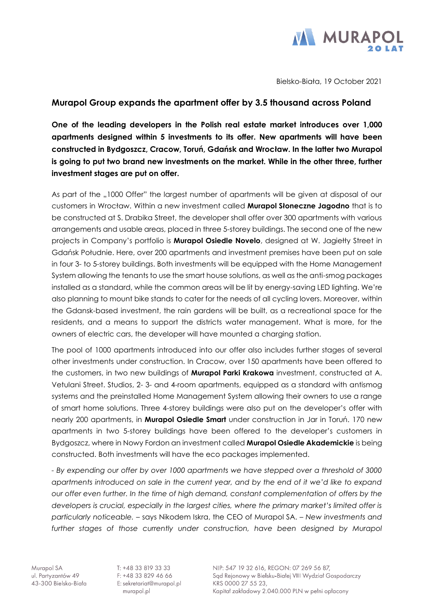

Bielsko-Biała, 19 October 2021

## **Murapol Group expands the apartment offer by 3.5 thousand across Poland**

**One of the leading developers in the Polish real estate market introduces over 1,000 apartments designed within 5 investments to its offer. New apartments will have been constructed in Bydgoszcz, Cracow, Toruń, Gdańsk and Wrocław. In the latter two Murapol is going to put two brand new investments on the market. While in the other three, further investment stages are put on offer.**

As part of the "1000 Offer" the largest number of apartments will be given at disposal of our customers in Wrocław. Within a new investment called **Murapol Słoneczne Jagodno** that is to be constructed at S. Drabika Street, the developer shall offer over 300 apartments with various arrangements and usable areas, placed in three 5-storey buildings. The second one of the new projects in Company's portfolio is **Murapol Osiedle Novelo**, designed at W. Jagiełły Street in Gdańsk Południe. Here, over 200 apartments and investment premises have been put on sale in four 3- to 5-storey buildings. Both investments will be equipped with the Home Management System allowing the tenants to use the smart house solutions, as well as the anti-smog packages installed as a standard, while the common areas will be lit by energy-saving LED lighting. We're also planning to mount bike stands to cater for the needs of all cycling lovers. Moreover, within the Gdansk-based investment, the rain gardens will be built, as a recreational space for the residents, and a means to support the districts water management. What is more, for the owners of electric cars, the developer will have mounted a charging station.

The pool of 1000 apartments introduced into our offer also includes further stages of several other investments under construction. In Cracow, over 150 apartments have been offered to the customers, in two new buildings of **Murapol Parki Krakowa** investment, constructed at A. Vetulani Street. Studios, 2- 3- and 4-room apartments, equipped as a standard with antismog systems and the preinstalled Home Management System allowing their owners to use a range of smart home solutions. Three 4-storey buildings were also put on the developer's offer with nearly 200 apartments, in **Murapol Osiedle Smart** under construction in Jar in Toruń. 170 new apartments in two 5-storey buildings have been offered to the developer's customers in Bydgoszcz, where in Nowy Fordon an investment called **Murapol Osiedle Akademickie** is being constructed. Both investments will have the eco packages implemented.

*- By expending our offer by over 1000 apartments we have stepped over a threshold of 3000 apartments introduced on sale in the current year, and by the end of it we'd like to expand our offer even further. In the time of high demand, constant complementation of offers by the*  developers is crucial, especially in the largest cities, where the primary market's limited offer is *particularly noticeable.* – says Nikodem Iskra, the CEO of Murapol SA. – *New investments and*  further stages of those currently under construction, have been designed by Murapol

T: +48 33 819 33 33  $F: +48338294666$ E: sekretariat@murapol.pl murapol.pl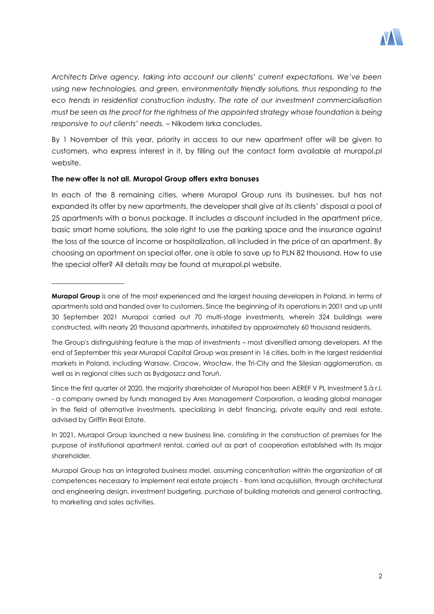

*Architects Drive agency, taking into account our clients' current expectations. We've been using new technologies, and green, environmentally friendly solutions, thus responding to the eco trends in residential construction industry. The rate of our investment commercialisation must be seen as the proof for the rightness of the appointed strategy whose foundation is being responsive to out clients' needs.* – Nikodem Isrka concludes.

By 1 November of this year, priority in access to our new apartment offer will be given to customers, who express interest in it, by filling out the contact form available at murapol.pl website.

## **The new offer is not all. Murapol Group offers extra bonuses**

\_\_\_\_\_\_\_\_\_\_\_\_\_\_\_\_\_\_\_\_

In each of the 8 remaining cities, where Murapol Group runs its businesses, but has not expanded its offer by new apartments, the developer shall give at its clients' disposal a pool of 25 apartments with a bonus package. It includes a discount included in the apartment price, basic smart home solutions, the sole right to use the parking space and the insurance against the loss of the source of income or hospitalization, all included in the price of an apartment. By choosing an apartment on special offer, one is able to save up to PLN 82 thousand. How to use the special offer? All details may be found at murapol.pl website.

Since the first quarter of 2020, the majority shareholder of Murapol has been AEREF V PL Investment S.à r.l. - a company owned by funds managed by Ares Management Corporation, a leading global manager in the field of alternative investments, specializing in debt financing, private equity and real estate, advised by Griffin Real Estate.

**Murapol Group** is one of the most experienced and the largest housing developers in Poland, in terms of apartments sold and handed over to customers. Since the beginning of its operations in 2001 and up until 30 September 2021 Murapol carried out 70 multi-stage investments, wherein 324 buildings were constructed, with nearly 20 thousand apartments, inhabited by approximately 60 thousand residents.

The Group's distinguishing feature is the map of investments – most diversified among developers. At the end of September this year Murapol Capital Group was present in 16 cities, both in the largest residential markets in Poland, including Warsaw, Cracow, Wrocław, the Tri-City and the Silesian agglomeration, as well as in regional cities such as Bydgoszcz and Toruń.

In 2021, Murapol Group launched a new business line, consisting in the construction of premises for the purpose of institutional apartment rental, carried out as part of cooperation established with its major shareholder.

Murapol Group has an integrated business model, assuming concentration within the organization of all competences necessary to implement real estate projects - from land acquisition, through architectural and engineering design, investment budgeting, purchase of building materials and general contracting, to marketing and sales activities.